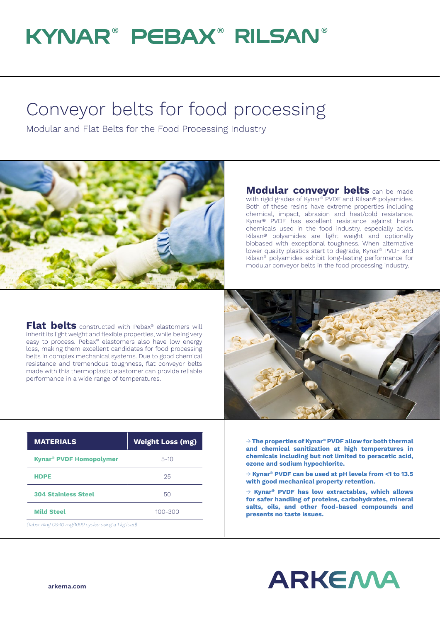## KYNAR® PEBAX® RILSAN®

## Conveyor belts for food processing

Modular and Flat Belts for the Food Processing Industry



**Modular conveyor belts** can be made with rigid grades of Kynar® PVDF and Rilsan® polyamides. Both of these resins have extreme properties including chemical, impact, abrasion and heat/cold resistance. Kynar® PVDF has excellent resistance against harsh chemicals used in the food industry, especially acids. Rilsan® polyamides are light weight and optionally biobased with exceptional toughness. When alternative lower quality plastics start to degrade, Kynar® PVDF and Rilsan® polyamides exhibit long-lasting performance for modular conveyor belts in the food processing industry.

**Flat belts** constructed with Pebax® elastomers will inherit its light weight and flexible properties, while being very easy to process. Pebax® elastomers also have low energy loss, making them excellent candidates for food processing belts in complex mechanical systems. Due to good chemical resistance and tremendous toughness, flat conveyor belts made with this thermoplastic elastomer can provide reliable performance in a wide range of temperatures.



| <b>MATERIALS</b>                                    | <b>Weight Loss (mg)</b> |
|-----------------------------------------------------|-------------------------|
| <b>Kynar<sup>®</sup> PVDF Homopolymer</b>           | $5 - 10$                |
| <b>HDPE</b>                                         | 25                      |
| <b>304 Stainless Steel</b>                          | 50                      |
| <b>Mild Steel</b>                                   | $100 - 300$             |
| (Taber Ring CS-10 mg/1000 cycles using a 1 kg load) |                         |

→ **The properties of Kynar® PVDF allow for both thermal and chemical sanitization at high temperatures in chemicals including but not limited to peracetic acid, ozone and sodium hypochlorite.**

→ **Kynar® PVDF can be used at pH levels from <1 to 13.5 with good mechanical property retention.**

→ **Kynar® PVDF has low extractables, which allows for safer handling of proteins, carbohydrates, mineral salts, oils, and other food-based compounds and presents no taste issues.**